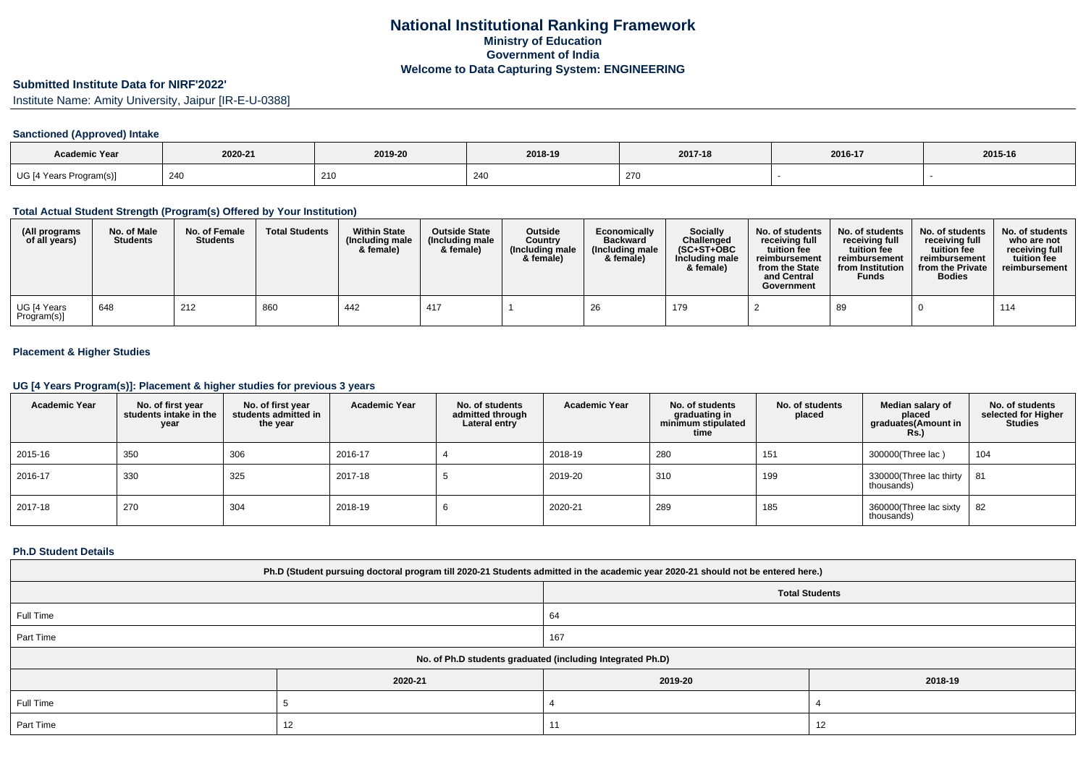# **Submitted Institute Data for NIRF'2022'**

Institute Name: Amity University, Jaipur [IR-E-U-0388]

### **Sanctioned (Approved) Intake**

| <b>Academic Year</b>    | 2020-21 | 2019-20 | 2018-19 | 2017-18 | 2016-17 | 2015-16 |
|-------------------------|---------|---------|---------|---------|---------|---------|
| UG [4 Years Program(s)] | 240     | 210     | 240     | 270     |         |         |

#### **Total Actual Student Strength (Program(s) Offered by Your Institution)**

| (All programs<br>of all years) | No. of Male<br><b>Students</b> | No. of Female<br><b>Students</b> | <b>Total Students</b> | <b>Within State</b><br>(Including male<br>& female) | <b>Outside State</b><br>(Including male<br>& female) | <b>Outside</b><br>Country<br>(Including male<br>& female) | Economically<br><b>Backward</b><br>(Including male<br>& female) | <b>Socially</b><br>Challenged<br>$(SC+ST+OBC$<br>Including male<br>& female) | No. of students<br>receivina full<br>tuition fee<br>reimbursement<br>from the State<br>and Central<br>Government | No. of students<br>receiving full<br>tuition fee<br>reimbursement<br>from Institution<br><b>Funds</b> | No. of students<br>receiving full<br>tuition fee<br>reimbursement<br>from the Private<br><b>Bodies</b> | No. of students<br>who are not<br>receiving full<br>tuition fee<br>reimbursement |
|--------------------------------|--------------------------------|----------------------------------|-----------------------|-----------------------------------------------------|------------------------------------------------------|-----------------------------------------------------------|-----------------------------------------------------------------|------------------------------------------------------------------------------|------------------------------------------------------------------------------------------------------------------|-------------------------------------------------------------------------------------------------------|--------------------------------------------------------------------------------------------------------|----------------------------------------------------------------------------------|
| UG [4 Years<br>Program(s)]     | 648                            | 212                              | 860                   | 442                                                 | 417                                                  |                                                           | 26                                                              | 179                                                                          |                                                                                                                  | 89                                                                                                    |                                                                                                        | 114                                                                              |

### **Placement & Higher Studies**

#### **UG [4 Years Program(s)]: Placement & higher studies for previous 3 years**

| <b>Academic Year</b> | No. of first year<br>students intake in the<br>year | No. of first year<br>students admitted in<br>the year | <b>Academic Year</b> | No. of students<br>admitted through<br>Lateral entry | <b>Academic Year</b> | No. of students<br>graduating in<br>minimum stipulated<br>time | No. of students<br>placed | Median salary of<br>placed<br>graduates(Amount in<br><b>Rs.)</b> | No. of students<br>selected for Higher<br><b>Studies</b> |
|----------------------|-----------------------------------------------------|-------------------------------------------------------|----------------------|------------------------------------------------------|----------------------|----------------------------------------------------------------|---------------------------|------------------------------------------------------------------|----------------------------------------------------------|
| 2015-16              | 350                                                 | 306                                                   | 2016-17              |                                                      | 2018-19              | 280                                                            | 151                       | 300000(Three lac)                                                | 104                                                      |
| 2016-17              | 330                                                 | 325                                                   | 2017-18              |                                                      | 2019-20              | 310                                                            | 199                       | 330000(Three lac thirty<br>thousands)                            | 81                                                       |
| 2017-18              | 270                                                 | 304                                                   | 2018-19              | O                                                    | 2020-21              | 289                                                            | 185                       | 360000(Three lac sixty<br>thousands)                             | 82                                                       |

#### **Ph.D Student Details**

| Ph.D (Student pursuing doctoral program till 2020-21 Students admitted in the academic year 2020-21 should not be entered here.) |                       |         |         |  |  |  |  |
|----------------------------------------------------------------------------------------------------------------------------------|-----------------------|---------|---------|--|--|--|--|
|                                                                                                                                  | <b>Total Students</b> |         |         |  |  |  |  |
| Full Time                                                                                                                        |                       | 64      |         |  |  |  |  |
| Part Time                                                                                                                        |                       | 167     |         |  |  |  |  |
| No. of Ph.D students graduated (including Integrated Ph.D)                                                                       |                       |         |         |  |  |  |  |
|                                                                                                                                  | 2020-21               | 2019-20 | 2018-19 |  |  |  |  |
| Full Time                                                                                                                        |                       |         |         |  |  |  |  |
| Part Time                                                                                                                        | 12                    | 11      | 12      |  |  |  |  |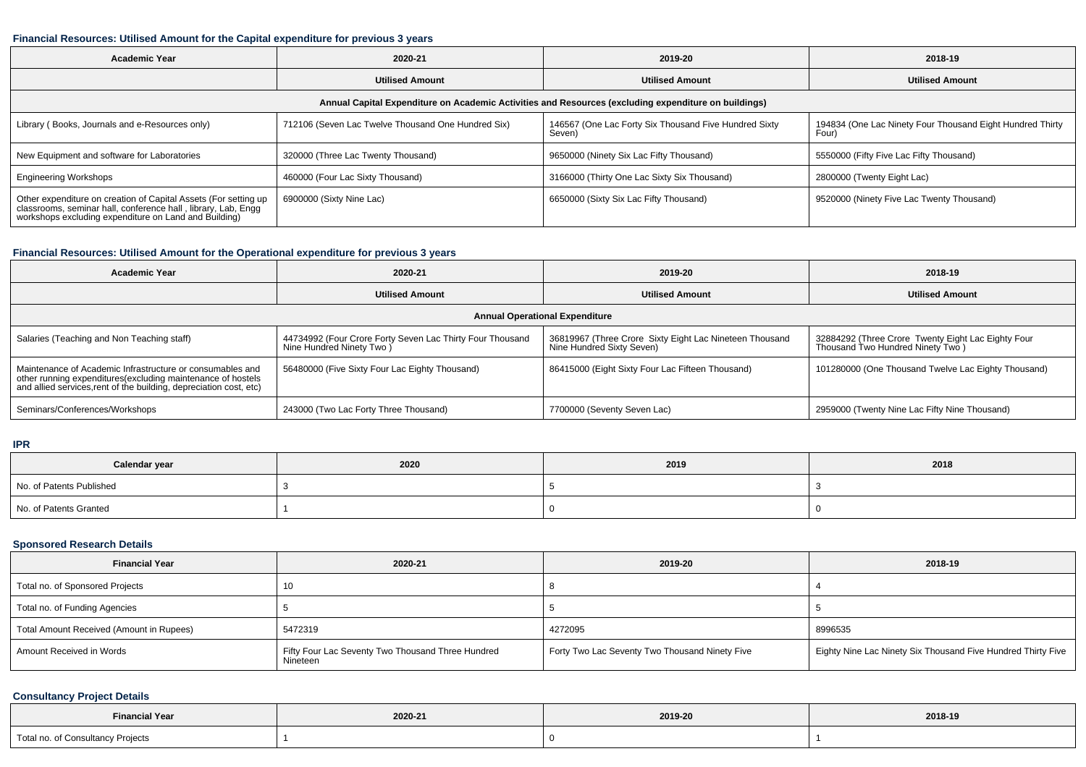#### **Financial Resources: Utilised Amount for the Capital expenditure for previous 3 years**

| <b>Academic Year</b>                                                                                                                                                                   | 2020-21                                            | 2019-20                                                         | 2018-19                                                            |  |  |  |  |  |
|----------------------------------------------------------------------------------------------------------------------------------------------------------------------------------------|----------------------------------------------------|-----------------------------------------------------------------|--------------------------------------------------------------------|--|--|--|--|--|
|                                                                                                                                                                                        | <b>Utilised Amount</b>                             | <b>Utilised Amount</b>                                          | <b>Utilised Amount</b>                                             |  |  |  |  |  |
| Annual Capital Expenditure on Academic Activities and Resources (excluding expenditure on buildings)                                                                                   |                                                    |                                                                 |                                                                    |  |  |  |  |  |
| Library (Books, Journals and e-Resources only)                                                                                                                                         | 712106 (Seven Lac Twelve Thousand One Hundred Six) | 146567 (One Lac Forty Six Thousand Five Hundred Sixty<br>Seven) | 194834 (One Lac Ninety Four Thousand Eight Hundred Thirty<br>Four) |  |  |  |  |  |
| New Equipment and software for Laboratories                                                                                                                                            | 320000 (Three Lac Twenty Thousand)                 | 9650000 (Ninety Six Lac Fifty Thousand)                         | 5550000 (Fifty Five Lac Fifty Thousand)                            |  |  |  |  |  |
| <b>Engineering Workshops</b>                                                                                                                                                           | 460000 (Four Lac Sixty Thousand)                   | 3166000 (Thirty One Lac Sixty Six Thousand)                     | 2800000 (Twenty Eight Lac)                                         |  |  |  |  |  |
| Other expenditure on creation of Capital Assets (For setting up classrooms, seminar hall, conference hall, library, Lab, Engg<br>workshops excluding expenditure on Land and Building) | 6900000 (Sixty Nine Lac)                           | 6650000 (Sixty Six Lac Fifty Thousand)                          | 9520000 (Ninety Five Lac Twenty Thousand)                          |  |  |  |  |  |

### **Financial Resources: Utilised Amount for the Operational expenditure for previous 3 years**

| <b>Academic Year</b>                                                                                                                                                                            | 2020-21                                                                                | 2019-20                                                                              | 2018-19                                                                                |  |  |  |  |  |
|-------------------------------------------------------------------------------------------------------------------------------------------------------------------------------------------------|----------------------------------------------------------------------------------------|--------------------------------------------------------------------------------------|----------------------------------------------------------------------------------------|--|--|--|--|--|
|                                                                                                                                                                                                 | <b>Utilised Amount</b>                                                                 | <b>Utilised Amount</b>                                                               | <b>Utilised Amount</b>                                                                 |  |  |  |  |  |
| <b>Annual Operational Expenditure</b>                                                                                                                                                           |                                                                                        |                                                                                      |                                                                                        |  |  |  |  |  |
| Salaries (Teaching and Non Teaching staff)                                                                                                                                                      | 44734992 (Four Crore Forty Seven Lac Thirty Four Thousand<br>Nine Hundred Ninety Two ) | 36819967 (Three Crore Sixty Eight Lac Nineteen Thousand<br>Nine Hundred Sixty Seven) | 32884292 (Three Crore Twenty Eight Lac Eighty Four<br>Thousand Two Hundred Ninety Two) |  |  |  |  |  |
| Maintenance of Academic Infrastructure or consumables and<br>other running expenditures (excluding maintenance of hostels<br>and allied services, rent of the building, depreciation cost, etc) | 56480000 (Five Sixty Four Lac Eighty Thousand)                                         | 86415000 (Eight Sixty Four Lac Fifteen Thousand)                                     | 101280000 (One Thousand Twelve Lac Eighty Thousand)                                    |  |  |  |  |  |
| Seminars/Conferences/Workshops                                                                                                                                                                  | 243000 (Two Lac Forty Three Thousand)                                                  | 7700000 (Seventy Seven Lac)                                                          | 2959000 (Twenty Nine Lac Fifty Nine Thousand)                                          |  |  |  |  |  |

#### **IPR**

| Calendar year            | 2020 | 2019 | 2018 |  |
|--------------------------|------|------|------|--|
| No. of Patents Published |      |      |      |  |
| No. of Patents Granted   |      |      |      |  |

#### **Sponsored Research Details**

| <b>Financial Year</b>                    | 2020-21                                                       | 2019-20                                        | 2018-19                                                      |
|------------------------------------------|---------------------------------------------------------------|------------------------------------------------|--------------------------------------------------------------|
| Total no. of Sponsored Projects          |                                                               |                                                |                                                              |
| Total no. of Funding Agencies            |                                                               |                                                |                                                              |
| Total Amount Received (Amount in Rupees) | 5472319                                                       | 4272095                                        | 8996535                                                      |
| Amount Received in Words                 | Fifty Four Lac Seventy Two Thousand Three Hundred<br>Nineteen | Forty Two Lac Seventy Two Thousand Ninety Five | Eighty Nine Lac Ninety Six Thousand Five Hundred Thirty Five |

## **Consultancy Project Details**

| <b>Financial Year</b>                              | 2020-21 | 2019-20 | 2018-19 |
|----------------------------------------------------|---------|---------|---------|
| Total no. of Consultancy Projects<br>$\sim$ $\sim$ |         |         |         |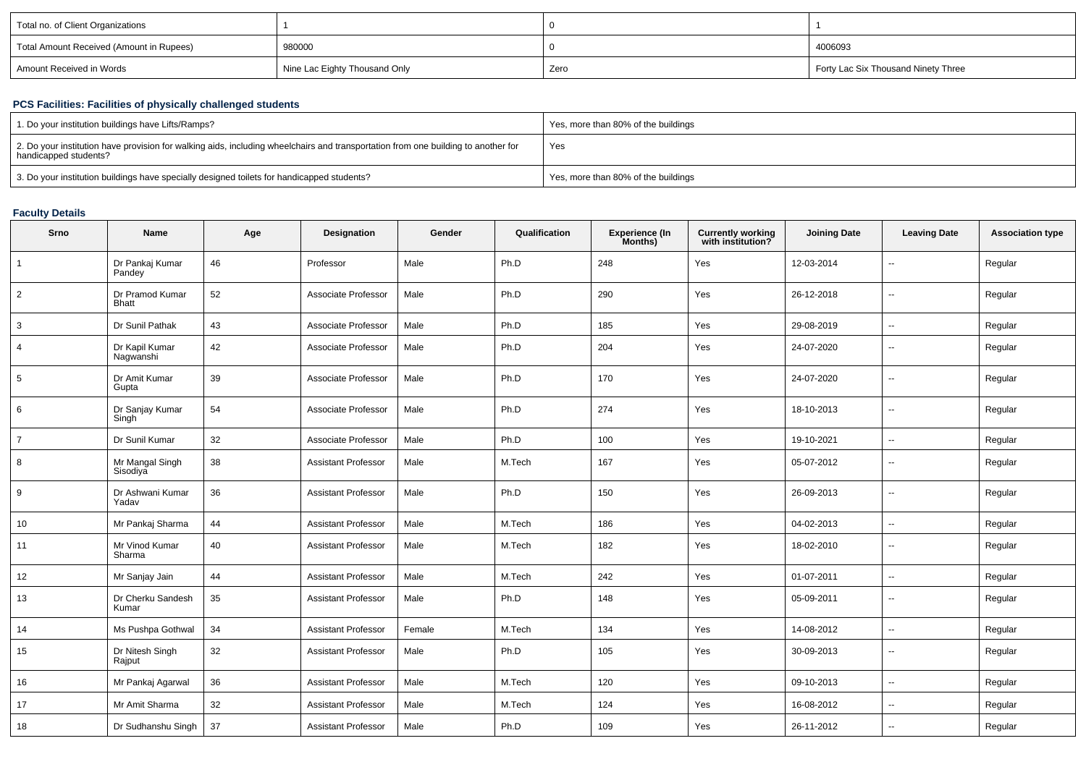| Total no. of Client Organizations        |                               |      |                                     |
|------------------------------------------|-------------------------------|------|-------------------------------------|
| Total Amount Received (Amount in Rupees) | 980000                        |      | 4006093                             |
| Amount Received in Words                 | Nine Lac Eighty Thousand Only | Zero | Forty Lac Six Thousand Ninety Three |

# **PCS Facilities: Facilities of physically challenged students**

| 1. Do your institution buildings have Lifts/Ramps?                                                                                                         | Yes, more than 80% of the buildings |
|------------------------------------------------------------------------------------------------------------------------------------------------------------|-------------------------------------|
| 2. Do your institution have provision for walking aids, including wheelchairs and transportation from one building to another for<br>handicapped students? | Yes                                 |
| 3. Do your institution buildings have specially designed toilets for handicapped students?                                                                 | Yes, more than 80% of the buildings |

### **Faculty Details**

| Srno           | Name                            | Age | Designation                | Gender | Qualification | <b>Experience (In</b><br>Months) | <b>Currently working</b><br>with institution? | <b>Joining Date</b> | <b>Leaving Date</b>      | <b>Association type</b> |
|----------------|---------------------------------|-----|----------------------------|--------|---------------|----------------------------------|-----------------------------------------------|---------------------|--------------------------|-------------------------|
| $\mathbf{1}$   | Dr Pankaj Kumar<br>Pandey       | 46  | Professor                  | Male   | Ph.D          | 248                              | Yes                                           | 12-03-2014          | $\overline{\phantom{a}}$ | Regular                 |
| $\overline{2}$ | Dr Pramod Kumar<br><b>Bhatt</b> | 52  | Associate Professor        | Male   | Ph.D          | 290                              | Yes                                           | 26-12-2018          | ۵.                       | Regular                 |
| 3              | Dr Sunil Pathak                 | 43  | Associate Professor        | Male   | Ph.D          | 185                              | Yes                                           | 29-08-2019          | ⊷.                       | Regular                 |
| $\overline{4}$ | Dr Kapil Kumar<br>Nagwanshi     | 42  | Associate Professor        | Male   | Ph.D          | 204                              | Yes                                           | 24-07-2020          | $\overline{\phantom{a}}$ | Regular                 |
| 5              | Dr Amit Kumar<br>Gupta          | 39  | Associate Professor        | Male   | Ph.D          | 170                              | Yes                                           | 24-07-2020          | $\overline{\phantom{a}}$ | Regular                 |
| 6              | Dr Sanjay Kumar<br>Singh        | 54  | Associate Professor        | Male   | Ph.D          | 274                              | Yes                                           | 18-10-2013          | ⊷.                       | Regular                 |
| $\overline{7}$ | Dr Sunil Kumar                  | 32  | Associate Professor        | Male   | Ph.D          | 100                              | Yes                                           | 19-10-2021          | $\overline{\phantom{a}}$ | Regular                 |
| 8              | Mr Mangal Singh<br>Sisodiya     | 38  | <b>Assistant Professor</b> | Male   | M.Tech        | 167                              | Yes                                           | 05-07-2012          | $\overline{\phantom{a}}$ | Regular                 |
| 9              | Dr Ashwani Kumar<br>Yadav       | 36  | <b>Assistant Professor</b> | Male   | Ph.D          | 150                              | Yes                                           | 26-09-2013          | $\overline{\phantom{a}}$ | Regular                 |
| 10             | Mr Pankaj Sharma                | 44  | <b>Assistant Professor</b> | Male   | M.Tech        | 186                              | Yes                                           | 04-02-2013          | $\overline{\phantom{a}}$ | Regular                 |
| 11             | Mr Vinod Kumar<br>Sharma        | 40  | <b>Assistant Professor</b> | Male   | M.Tech        | 182                              | Yes                                           | 18-02-2010          | ⊷.                       | Regular                 |
| 12             | Mr Sanjay Jain                  | 44  | <b>Assistant Professor</b> | Male   | M.Tech        | 242                              | Yes                                           | 01-07-2011          | $\mathbf{u}$             | Regular                 |
| 13             | Dr Cherku Sandesh<br>Kumar      | 35  | <b>Assistant Professor</b> | Male   | Ph.D          | 148                              | Yes                                           | 05-09-2011          | $\overline{\phantom{a}}$ | Regular                 |
| 14             | Ms Pushpa Gothwal               | 34  | <b>Assistant Professor</b> | Female | M.Tech        | 134                              | Yes                                           | 14-08-2012          | $\mathbf{u}$             | Regular                 |
| 15             | Dr Nitesh Singh<br>Rajput       | 32  | <b>Assistant Professor</b> | Male   | Ph.D          | 105                              | Yes                                           | 30-09-2013          | ⊷.                       | Regular                 |
| 16             | Mr Pankaj Agarwal               | 36  | <b>Assistant Professor</b> | Male   | M.Tech        | 120                              | Yes                                           | 09-10-2013          | $\overline{\phantom{a}}$ | Regular                 |
| 17             | Mr Amit Sharma                  | 32  | <b>Assistant Professor</b> | Male   | M.Tech        | 124                              | Yes                                           | 16-08-2012          | ⊷.                       | Regular                 |
| 18             | Dr Sudhanshu Singh              | 37  | <b>Assistant Professor</b> | Male   | Ph.D          | 109                              | Yes                                           | 26-11-2012          | Ξ.                       | Regular                 |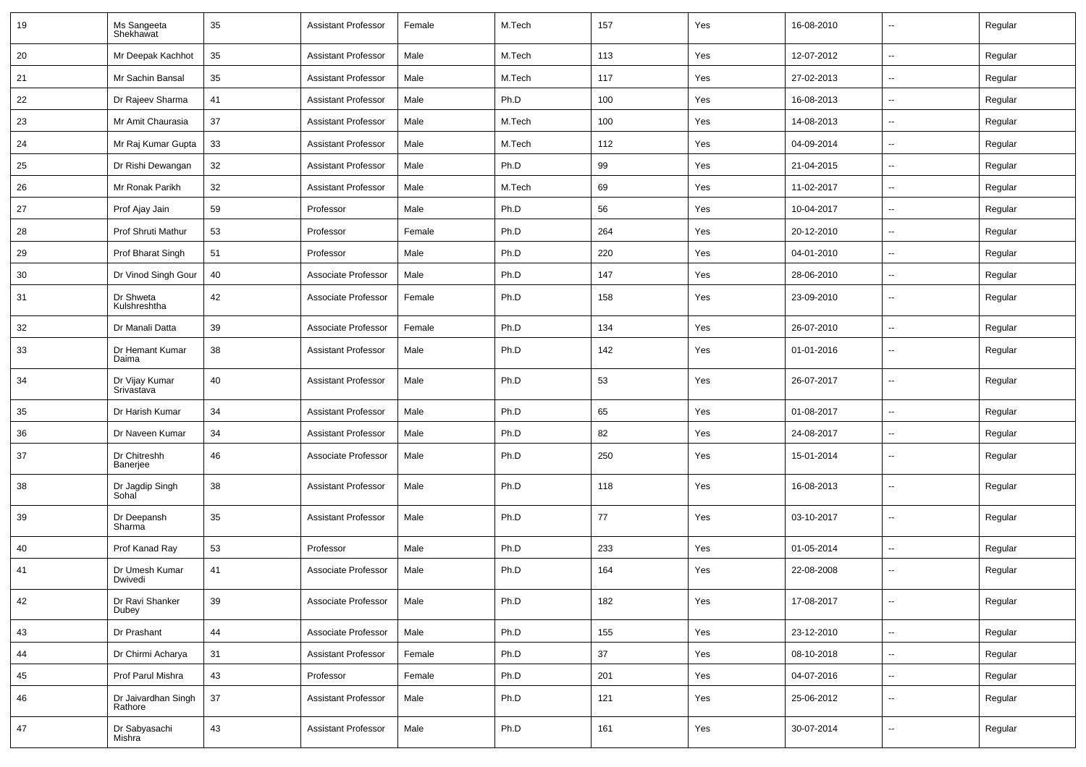| 19 | Ms Sangeeta<br>Shekhawat       | 35 | <b>Assistant Professor</b> | Female | M.Tech | 157 | Yes | 16-08-2010 | $\overline{\phantom{a}}$ | Regular |
|----|--------------------------------|----|----------------------------|--------|--------|-----|-----|------------|--------------------------|---------|
| 20 | Mr Deepak Kachhot              | 35 | <b>Assistant Professor</b> | Male   | M.Tech | 113 | Yes | 12-07-2012 | $\overline{\phantom{a}}$ | Regular |
| 21 | Mr Sachin Bansal               | 35 | <b>Assistant Professor</b> | Male   | M.Tech | 117 | Yes | 27-02-2013 | $\overline{\phantom{a}}$ | Regular |
| 22 | Dr Rajeev Sharma               | 41 | <b>Assistant Professor</b> | Male   | Ph.D   | 100 | Yes | 16-08-2013 | Ш,                       | Regular |
| 23 | Mr Amit Chaurasia              | 37 | <b>Assistant Professor</b> | Male   | M.Tech | 100 | Yes | 14-08-2013 | --                       | Regular |
| 24 | Mr Raj Kumar Gupta             | 33 | <b>Assistant Professor</b> | Male   | M.Tech | 112 | Yes | 04-09-2014 | $\overline{\phantom{a}}$ | Regular |
| 25 | Dr Rishi Dewangan              | 32 | <b>Assistant Professor</b> | Male   | Ph.D   | 99  | Yes | 21-04-2015 | $\sim$                   | Regular |
| 26 | Mr Ronak Parikh                | 32 | <b>Assistant Professor</b> | Male   | M.Tech | 69  | Yes | 11-02-2017 | $\sim$                   | Regular |
| 27 | Prof Ajay Jain                 | 59 | Professor                  | Male   | Ph.D   | 56  | Yes | 10-04-2017 | $\sim$                   | Regular |
| 28 | Prof Shruti Mathur             | 53 | Professor                  | Female | Ph.D   | 264 | Yes | 20-12-2010 | $\overline{\phantom{a}}$ | Regular |
| 29 | Prof Bharat Singh              | 51 | Professor                  | Male   | Ph.D   | 220 | Yes | 04-01-2010 | $\overline{\phantom{a}}$ | Regular |
| 30 | Dr Vinod Singh Gour            | 40 | Associate Professor        | Male   | Ph.D   | 147 | Yes | 28-06-2010 | $\overline{\phantom{a}}$ | Regular |
| 31 | Dr Shweta<br>Kulshreshtha      | 42 | Associate Professor        | Female | Ph.D   | 158 | Yes | 23-09-2010 | $\overline{a}$           | Regular |
| 32 | Dr Manali Datta                | 39 | Associate Professor        | Female | Ph.D   | 134 | Yes | 26-07-2010 | $\overline{\phantom{a}}$ | Regular |
| 33 | Dr Hemant Kumar<br>Daima       | 38 | <b>Assistant Professor</b> | Male   | Ph.D   | 142 | Yes | 01-01-2016 | $\overline{\phantom{a}}$ | Regular |
| 34 | Dr Vijay Kumar<br>Srivastava   | 40 | <b>Assistant Professor</b> | Male   | Ph.D   | 53  | Yes | 26-07-2017 | Ξ.                       | Regular |
| 35 | Dr Harish Kumar                | 34 | <b>Assistant Professor</b> | Male   | Ph.D   | 65  | Yes | 01-08-2017 | $\sim$                   | Regular |
| 36 | Dr Naveen Kumar                | 34 | <b>Assistant Professor</b> | Male   | Ph.D   | 82  | Yes | 24-08-2017 | $\sim$                   | Regular |
| 37 | Dr Chitreshh<br>Banerjee       | 46 | Associate Professor        | Male   | Ph.D   | 250 | Yes | 15-01-2014 | --                       | Regular |
| 38 | Dr Jagdip Singh<br>Sohal       | 38 | <b>Assistant Professor</b> | Male   | Ph.D   | 118 | Yes | 16-08-2013 | --                       | Regular |
| 39 | Dr Deepansh<br>Sharma          | 35 | <b>Assistant Professor</b> | Male   | Ph.D   | 77  | Yes | 03-10-2017 | --                       | Regular |
| 40 | Prof Kanad Ray                 | 53 | Professor                  | Male   | Ph.D   | 233 | Yes | 01-05-2014 | --                       | Regular |
| 41 | Dr Umesh Kumar<br>Dwivedi      | 41 | Associate Professor        | Male   | Ph.D   | 164 | Yes | 22-08-2008 | --                       | Regular |
| 42 | Dr Ravi Shanker<br>Dubey       | 39 | Associate Professor        | Male   | Ph.D   | 182 | Yes | 17-08-2017 | $\overline{\phantom{a}}$ | Regular |
| 43 | Dr Prashant                    | 44 | Associate Professor        | Male   | Ph.D   | 155 | Yes | 23-12-2010 | Ξ.                       | Regular |
| 44 | Dr Chirmi Acharya              | 31 | <b>Assistant Professor</b> | Female | Ph.D   | 37  | Yes | 08-10-2018 | $\sim$                   | Regular |
| 45 | Prof Parul Mishra              | 43 | Professor                  | Female | Ph.D   | 201 | Yes | 04-07-2016 | $\overline{\phantom{a}}$ | Regular |
| 46 | Dr Jaivardhan Singh<br>Rathore | 37 | <b>Assistant Professor</b> | Male   | Ph.D   | 121 | Yes | 25-06-2012 | $\overline{\phantom{a}}$ | Regular |
| 47 | Dr Sabyasachi<br>Mishra        | 43 | <b>Assistant Professor</b> | Male   | Ph.D   | 161 | Yes | 30-07-2014 | $\sim$                   | Regular |